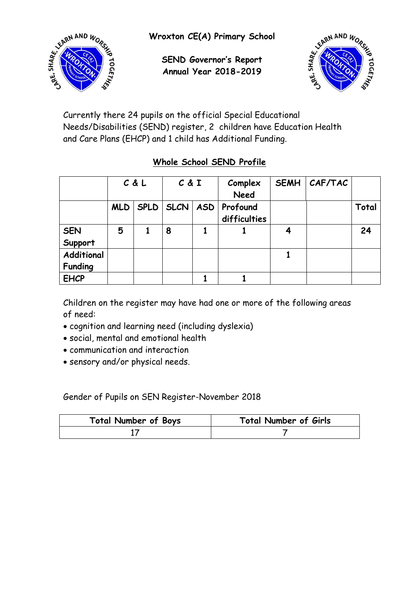

**Wroxton CE(A) Primary School**

**SEND Governor's Report Annual Year 2018-2019**



Currently there 24 pupils on the official Special Educational Needs/Disabilities (SEND) register, 2 children have Education Health and Care Plans (EHCP) and 1 child has Additional Funding.

# **Whole School SEND Profile**

|                              | C & L      |      | C & I |            | Complex<br><b>Need</b>   | <b>SEMH</b> | CAF/TAC |       |
|------------------------------|------------|------|-------|------------|--------------------------|-------------|---------|-------|
|                              | <b>MLD</b> | SPLD | SLCN  | <b>ASD</b> | Profound<br>difficulties |             |         | Total |
| <b>SEN</b><br>Support        | 5          |      | 8     |            |                          |             |         | 24    |
| Additional<br><b>Funding</b> |            |      |       |            |                          |             |         |       |
| <b>EHCP</b>                  |            |      |       |            |                          |             |         |       |

Children on the register may have had one or more of the following areas of need:

- cognition and learning need (including dyslexia)
- social, mental and emotional health
- communication and interaction
- sensory and/or physical needs.

Gender of Pupils on SEN Register-November 2018

| <b>Total Number of Boys</b> | <b>Total Number of Girls</b> |
|-----------------------------|------------------------------|
|                             |                              |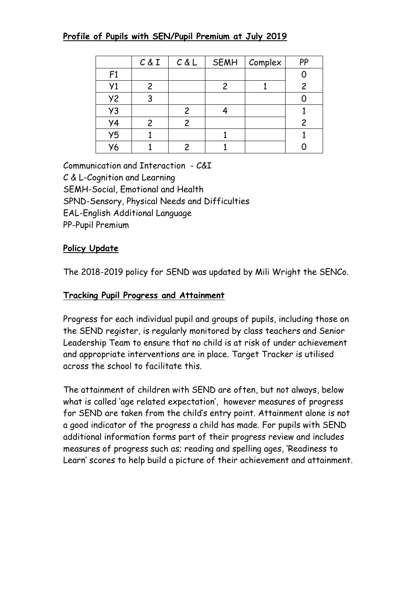# **Profile of Pupils with SEN/Pupil Premium at July 2019**

|                 | C & I        | C&L | <b>SEMH</b> | Complex | PP |
|-----------------|--------------|-----|-------------|---------|----|
| F1              |              |     |             |         |    |
| Y1              | $\mathsf{2}$ |     |             |         | 2  |
| Y <sub>2</sub>  | 3            |     |             |         |    |
| Y3              |              | 2   |             |         |    |
| $\overline{Y}4$ | 2            | 2   |             |         | 2  |
| Y5              |              |     |             |         |    |
| У6              |              |     |             |         |    |

Communication and Interaction - C&I C & L-Cognition and Learning SEMH-Social, Emotional and Health SPND-Sensory, Physical Needs and Difficulties EAL-English Additional Language PP-Pupil Premium

# **Policy Update**

The 2018-2019 policy for SEND was updated by Mili Wright the SENCo.

#### **Tracking Pupil Progress and Attainment**

Progress for each individual pupil and groups of pupils, including those on the SEND register, is regularly monitored by class teachers and Senior Leadership Team to ensure that no child is at risk of under achievement and appropriate interventions are in place. Target Tracker is utilised across the school to facilitate this.

The attainment of children with SEND are often, but not always, below what is called 'age related expectation', however measures of progress for SEND are taken from the child's entry point. Attainment alone is not a good indicator of the progress a child has made. For pupils with SEND additional information forms part of their progress review and includes measures of progress such as; reading and spelling ages, 'Readiness to Learn' scores to help build a picture of their achievement and attainment.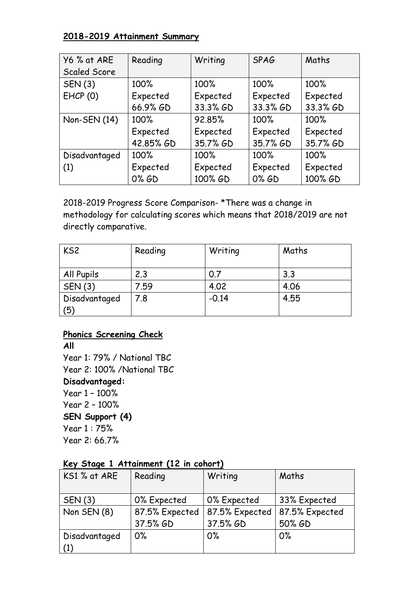# **2018-2019 Attainment Summary**

| Y6 % at ARE   | Reading   | Writing  | <b>SPAG</b> | Maths    |
|---------------|-----------|----------|-------------|----------|
| Scaled Score  |           |          |             |          |
| <b>SEN(3)</b> | 100%      | 100%     | 100%        | 100%     |
| E HCP (0)     | Expected  | Expected | Expected    | Expected |
|               | 66.9% GD  | 33.3% GD | 33.3% GD    | 33.3% GD |
| Non-SEN (14)  | 100%      | 92.85%   | 100%        | 100%     |
|               | Expected  | Expected | Expected    | Expected |
|               | 42.85% GD | 35.7% GD | 35.7% GD    | 35.7% GD |
| Disadvantaged | 100%      | 100%     | 100%        | 100%     |
| (1)           | Expected  | Expected | Expected    | Expected |
|               | 0% GD     | 100% GD  | 0% GD       | 100% GD  |

2018-2019 Progress Score Comparison- \*There was a change in methodology for calculating scores which means that 2018/2019 are not directly comparative.

| KS <sub>2</sub>      | Reading | Writing | Maths |
|----------------------|---------|---------|-------|
| All Pupils           | 2.3     | 0.7     | 3.3   |
| SEN(3)               | 7.59    | 4.02    | 4.06  |
| Disadvantaged<br>(5) | 7.8     | $-0.14$ | 4.55  |

## **Phonics Screening Check**

**All** Year 1: 79% / National TBC Year 2: 100% /National TBC **Disadvantaged:** Year 1 – 100% Year 2 – 100% **SEN Support (4)** Year 1 : 75% Year 2: 66.7%

## **Key Stage 1 Attainment (12 in cohort)**

| KS1 % at ARE  | Reading        | Writing        | Maths          |
|---------------|----------------|----------------|----------------|
| SEN (3)       | 0% Expected    | 0% Expected    | 33% Expected   |
| Non SEN (8)   | 87.5% Expected | 87.5% Expected | 87.5% Expected |
|               | 37.5% GD       | 37.5% GD       | 50% GD         |
| Disadvantaged | $0\%$          | $0\%$          | $0\%$          |
| (1)           |                |                |                |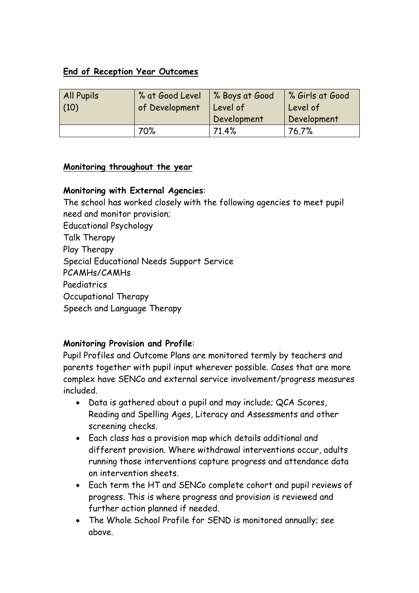# **End of Reception Year Outcomes**

| <b>All Pupils</b><br>(10) | % at Good Level<br>of Development | 8 Soys at Good<br>Level of | % Girls at Good<br>Level of |
|---------------------------|-----------------------------------|----------------------------|-----------------------------|
|                           |                                   | Development                | Development                 |
|                           | 70%                               | 71.4%                      | 76.7%                       |

## **Monitoring throughout the year**

## **Monitoring with External Agencies**:

The school has worked closely with the following agencies to meet pupil need and monitor provision; Educational Psychology Talk Therapy Play Therapy Special Educational Needs Support Service PCAMHs/CAMHs Paediatrics Occupational Therapy Speech and Language Therapy

## **Monitoring Provision and Profile**:

Pupil Profiles and Outcome Plans are monitored termly by teachers and parents together with pupil input wherever possible. Cases that are more complex have SENCo and external service involvement/progress measures included.

- Data is gathered about a pupil and may include; QCA Scores, Reading and Spelling Ages, Literacy and Assessments and other screening checks.
- Each class has a provision map which details additional and different provision. Where withdrawal interventions occur, adults running those interventions capture progress and attendance data on intervention sheets.
- Each term the HT and SENCo complete cohort and pupil reviews of progress. This is where progress and provision is reviewed and further action planned if needed.
- The Whole School Profile for SEND is monitored annually; see above.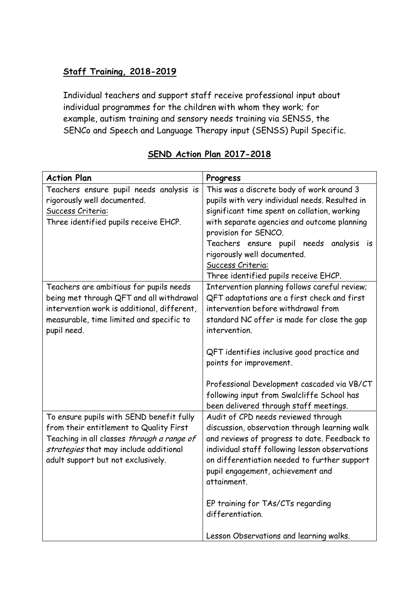# **Staff Training, 2018-2019**

Individual teachers and support staff receive professional input about individual programmes for the children with whom they work; for example, autism training and sensory needs training via SENSS, the SENCo and Speech and Language Therapy input (SENSS) Pupil Specific.

| <b>Action Plan</b>                                                                                                                                                                                                | Progress                                                                                                                                                                                                                                                                                                                                                       |
|-------------------------------------------------------------------------------------------------------------------------------------------------------------------------------------------------------------------|----------------------------------------------------------------------------------------------------------------------------------------------------------------------------------------------------------------------------------------------------------------------------------------------------------------------------------------------------------------|
| Teachers ensure pupil needs analysis is<br>rigorously well documented.<br>Success Criteria:<br>Three identified pupils receive EHCP.                                                                              | This was a discrete body of work around 3<br>pupils with very individual needs. Resulted in<br>significant time spent on collation, working<br>with separate agencies and outcome planning<br>provision for SENCO.<br>Teachers ensure pupil needs analysis<br>is.<br>rigorously well documented.<br>Success Criteria:<br>Three identified pupils receive EHCP. |
| Teachers are ambitious for pupils needs<br>being met through QFT and all withdrawal<br>intervention work is additional, different,<br>measurable, time limited and specific to<br>pupil need.                     | Intervention planning follows careful review;<br>QFT adaptations are a first check and first<br>intervention before withdrawal from<br>standard NC offer is made for close the gap<br>intervention.<br>QFT identifies inclusive good practice and<br>points for improvement.                                                                                   |
|                                                                                                                                                                                                                   | Professional Development cascaded via VB/CT<br>following input from Swalcliffe School has<br>been delivered through staff meetings.                                                                                                                                                                                                                            |
| To ensure pupils with SEND benefit fully<br>from their entitlement to Quality First<br>Teaching in all classes through a range of<br>strategies that may include additional<br>adult support but not exclusively. | Audit of CPD needs reviewed through<br>discussion, observation through learning walk<br>and reviews of progress to date. Feedback to<br>individual staff following lesson observations<br>on differentiation needed to further support<br>pupil engagement, achievement and<br>attainment.                                                                     |
|                                                                                                                                                                                                                   | EP training for TAs/CTs regarding<br>differentiation.<br>Lesson Observations and learning walks.                                                                                                                                                                                                                                                               |

# **SEND Action Plan 2017-2018**